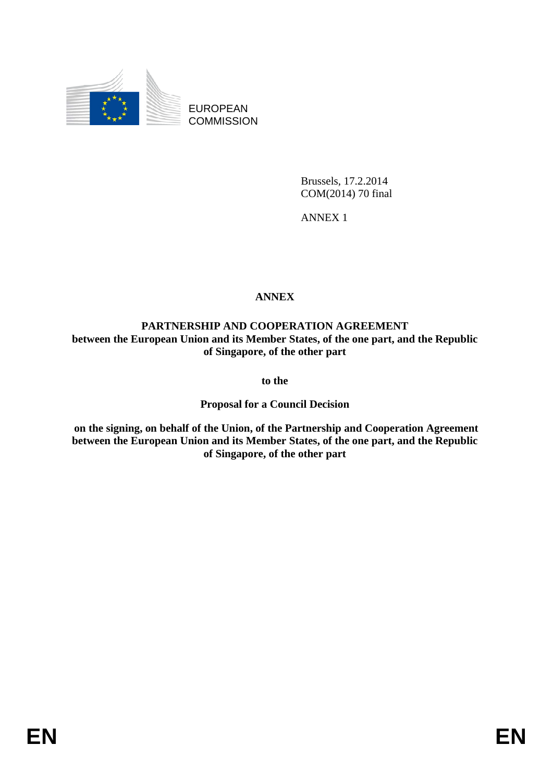

EUROPEAN **COMMISSION** 

> Brussels, 17.2.2014 COM(2014) 70 final

ANNEX 1

# **ANNEX**

**PARTNERSHIP AND COOPERATION AGREEMENT between the European Union and its Member States, of the one part, and the Republic of Singapore, of the other part** 

**to the** 

**Proposal for a Council Decision** 

 **on the signing, on behalf of the Union, of the Partnership and Cooperation Agreement between the European Union and its Member States, of the one part, and the Republic of Singapore, of the other part**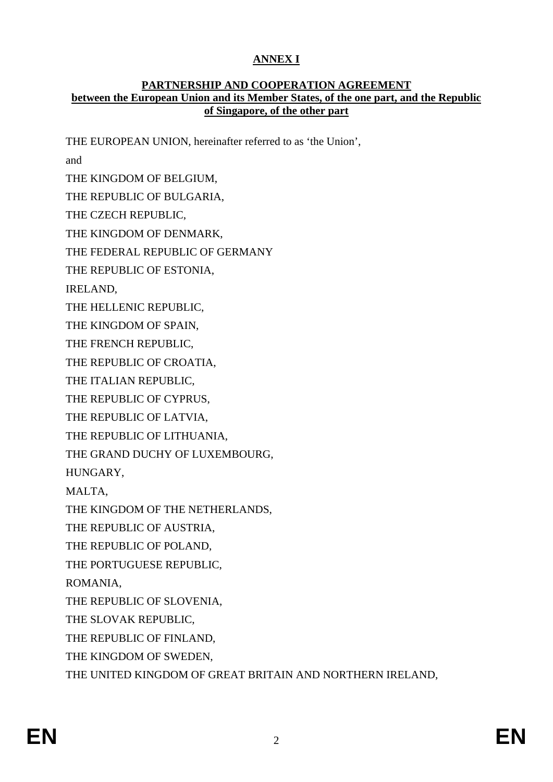# **ANNEX I**

### **PARTNERSHIP AND COOPERATION AGREEMENT between the European Union and its Member States, of the one part, and the Republic of Singapore, of the other part**

THE EUROPEAN UNION, hereinafter referred to as 'the Union', and THE KINGDOM OF BELGIUM, THE REPUBLIC OF BULGARIA, THE CZECH REPUBLIC, THE KINGDOM OF DENMARK, THE FEDERAL REPUBLIC OF GERMANY THE REPUBLIC OF ESTONIA, IRELAND, THE HELLENIC REPUBLIC, THE KINGDOM OF SPAIN, THE FRENCH REPUBLIC, THE REPUBLIC OF CROATIA, THE ITALIAN REPUBLIC, THE REPUBLIC OF CYPRUS, THE REPUBLIC OF LATVIA, THE REPUBLIC OF LITHUANIA, THE GRAND DUCHY OF LUXEMBOURG, HUNGARY, MALTA, THE KINGDOM OF THE NETHERLANDS, THE REPUBLIC OF AUSTRIA, THE REPUBLIC OF POLAND, THE PORTUGUESE REPUBLIC, ROMANIA, THE REPUBLIC OF SLOVENIA, THE SLOVAK REPUBLIC, THE REPUBLIC OF FINLAND, THE KINGDOM OF SWEDEN, THE UNITED KINGDOM OF GREAT BRITAIN AND NORTHERN IRELAND,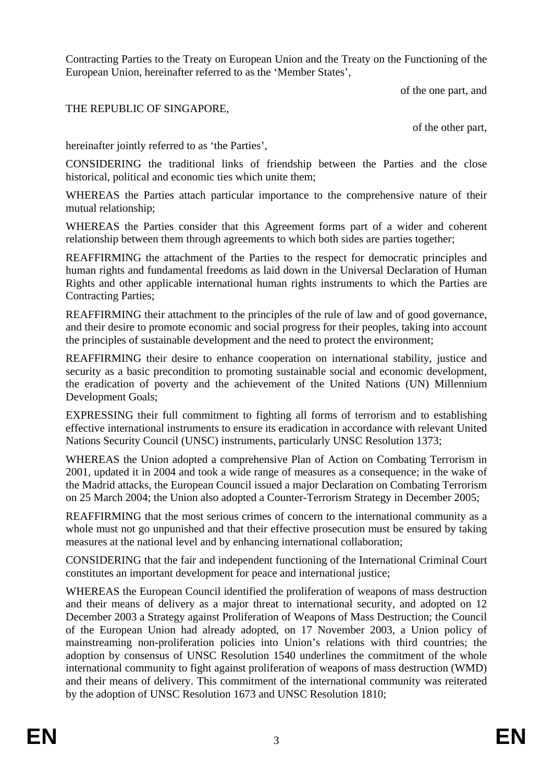Contracting Parties to the Treaty on European Union and the Treaty on the Functioning of the European Union, hereinafter referred to as the 'Member States',

of the one part, and

## THE REPUBLIC OF SINGAPORE,

of the other part,

hereinafter jointly referred to as 'the Parties',

CONSIDERING the traditional links of friendship between the Parties and the close historical, political and economic ties which unite them;

WHEREAS the Parties attach particular importance to the comprehensive nature of their mutual relationship;

WHEREAS the Parties consider that this Agreement forms part of a wider and coherent relationship between them through agreements to which both sides are parties together;

REAFFIRMING the attachment of the Parties to the respect for democratic principles and human rights and fundamental freedoms as laid down in the Universal Declaration of Human Rights and other applicable international human rights instruments to which the Parties are Contracting Parties;

REAFFIRMING their attachment to the principles of the rule of law and of good governance, and their desire to promote economic and social progress for their peoples, taking into account the principles of sustainable development and the need to protect the environment;

REAFFIRMING their desire to enhance cooperation on international stability, justice and security as a basic precondition to promoting sustainable social and economic development, the eradication of poverty and the achievement of the United Nations (UN) Millennium Development Goals;

EXPRESSING their full commitment to fighting all forms of terrorism and to establishing effective international instruments to ensure its eradication in accordance with relevant United Nations Security Council (UNSC) instruments, particularly UNSC Resolution 1373;

WHEREAS the Union adopted a comprehensive Plan of Action on Combating Terrorism in 2001, updated it in 2004 and took a wide range of measures as a consequence; in the wake of the Madrid attacks, the European Council issued a major Declaration on Combating Terrorism on 25 March 2004; the Union also adopted a Counter-Terrorism Strategy in December 2005;

REAFFIRMING that the most serious crimes of concern to the international community as a whole must not go unpunished and that their effective prosecution must be ensured by taking measures at the national level and by enhancing international collaboration;

CONSIDERING that the fair and independent functioning of the International Criminal Court constitutes an important development for peace and international justice;

WHEREAS the European Council identified the proliferation of weapons of mass destruction and their means of delivery as a major threat to international security, and adopted on 12 December 2003 a Strategy against Proliferation of Weapons of Mass Destruction; the Council of the European Union had already adopted, on 17 November 2003, a Union policy of mainstreaming non-proliferation policies into Union's relations with third countries; the adoption by consensus of UNSC Resolution 1540 underlines the commitment of the whole international community to fight against proliferation of weapons of mass destruction (WMD) and their means of delivery. This commitment of the international community was reiterated by the adoption of UNSC Resolution 1673 and UNSC Resolution 1810;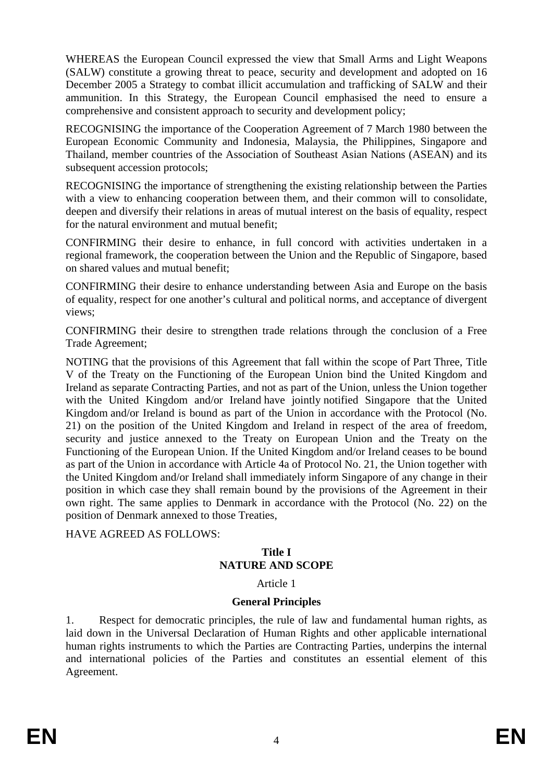WHEREAS the European Council expressed the view that Small Arms and Light Weapons (SALW) constitute a growing threat to peace, security and development and adopted on 16 December 2005 a Strategy to combat illicit accumulation and trafficking of SALW and their ammunition. In this Strategy, the European Council emphasised the need to ensure a comprehensive and consistent approach to security and development policy;

RECOGNISING the importance of the Cooperation Agreement of 7 March 1980 between the European Economic Community and Indonesia, Malaysia, the Philippines, Singapore and Thailand, member countries of the Association of Southeast Asian Nations (ASEAN) and its subsequent accession protocols;

RECOGNISING the importance of strengthening the existing relationship between the Parties with a view to enhancing cooperation between them, and their common will to consolidate. deepen and diversify their relations in areas of mutual interest on the basis of equality, respect for the natural environment and mutual benefit;

CONFIRMING their desire to enhance, in full concord with activities undertaken in a regional framework, the cooperation between the Union and the Republic of Singapore, based on shared values and mutual benefit;

CONFIRMING their desire to enhance understanding between Asia and Europe on the basis of equality, respect for one another's cultural and political norms, and acceptance of divergent views;

CONFIRMING their desire to strengthen trade relations through the conclusion of a Free Trade Agreement;

NOTING that the provisions of this Agreement that fall within the scope of Part Three, Title V of the Treaty on the Functioning of the European Union bind the United Kingdom and Ireland as separate Contracting Parties, and not as part of the Union, unless the Union together with the United Kingdom and/or Ireland have jointly notified Singapore that the United Kingdom and/or Ireland is bound as part of the Union in accordance with the Protocol (No. 21) on the position of the United Kingdom and Ireland in respect of the area of freedom, security and justice annexed to the Treaty on European Union and the Treaty on the Functioning of the European Union. If the United Kingdom and/or Ireland ceases to be bound as part of the Union in accordance with Article 4a of Protocol No. 21, the Union together with the United Kingdom and/or Ireland shall immediately inform Singapore of any change in their position in which case they shall remain bound by the provisions of the Agreement in their own right. The same applies to Denmark in accordance with the Protocol (No. 22) on the position of Denmark annexed to those Treaties,

HAVE AGREED AS FOLLOWS:

### **Title I NATURE AND SCOPE**

Article 1

# **General Principles**

1. Respect for democratic principles, the rule of law and fundamental human rights, as laid down in the Universal Declaration of Human Rights and other applicable international human rights instruments to which the Parties are Contracting Parties, underpins the internal and international policies of the Parties and constitutes an essential element of this Agreement.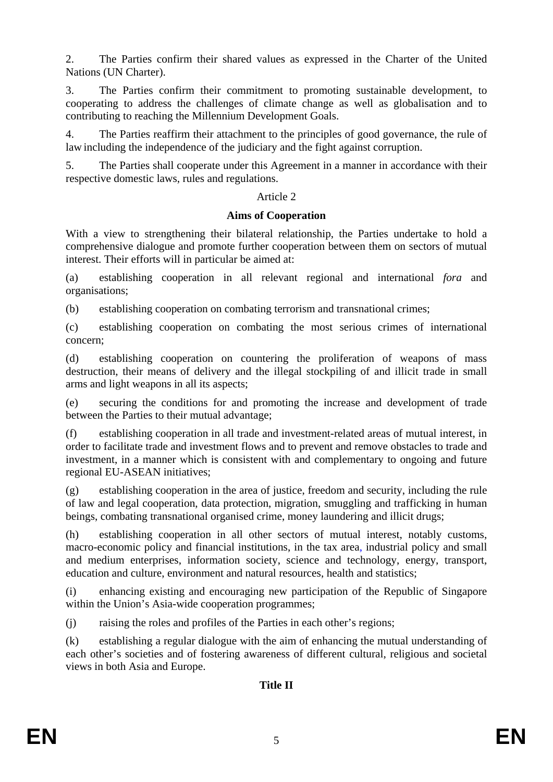2. The Parties confirm their shared values as expressed in the Charter of the United Nations (UN Charter).

3. The Parties confirm their commitment to promoting sustainable development, to cooperating to address the challenges of climate change as well as globalisation and to contributing to reaching the Millennium Development Goals.

4. The Parties reaffirm their attachment to the principles of good governance, the rule of law including the independence of the judiciary and the fight against corruption.

5. The Parties shall cooperate under this Agreement in a manner in accordance with their respective domestic laws, rules and regulations.

### Article 2

### **Aims of Cooperation**

With a view to strengthening their bilateral relationship, the Parties undertake to hold a comprehensive dialogue and promote further cooperation between them on sectors of mutual interest. Their efforts will in particular be aimed at:

(a) establishing cooperation in all relevant regional and international *fora* and organisations;

(b) establishing cooperation on combating terrorism and transnational crimes;

(c) establishing cooperation on combating the most serious crimes of international concern;

(d) establishing cooperation on countering the proliferation of weapons of mass destruction, their means of delivery and the illegal stockpiling of and illicit trade in small arms and light weapons in all its aspects;

(e) securing the conditions for and promoting the increase and development of trade between the Parties to their mutual advantage;

(f) establishing cooperation in all trade and investment-related areas of mutual interest, in order to facilitate trade and investment flows and to prevent and remove obstacles to trade and investment, in a manner which is consistent with and complementary to ongoing and future regional EU-ASEAN initiatives;

(g) establishing cooperation in the area of justice, freedom and security, including the rule of law and legal cooperation, data protection, migration, smuggling and trafficking in human beings, combating transnational organised crime, money laundering and illicit drugs;

(h) establishing cooperation in all other sectors of mutual interest, notably customs, macro-economic policy and financial institutions, in the tax area, industrial policy and small and medium enterprises, information society, science and technology, energy, transport, education and culture, environment and natural resources, health and statistics;

(i) enhancing existing and encouraging new participation of the Republic of Singapore within the Union's Asia-wide cooperation programmes;

(j) raising the roles and profiles of the Parties in each other's regions;

(k) establishing a regular dialogue with the aim of enhancing the mutual understanding of each other's societies and of fostering awareness of different cultural, religious and societal views in both Asia and Europe.

# **Title II**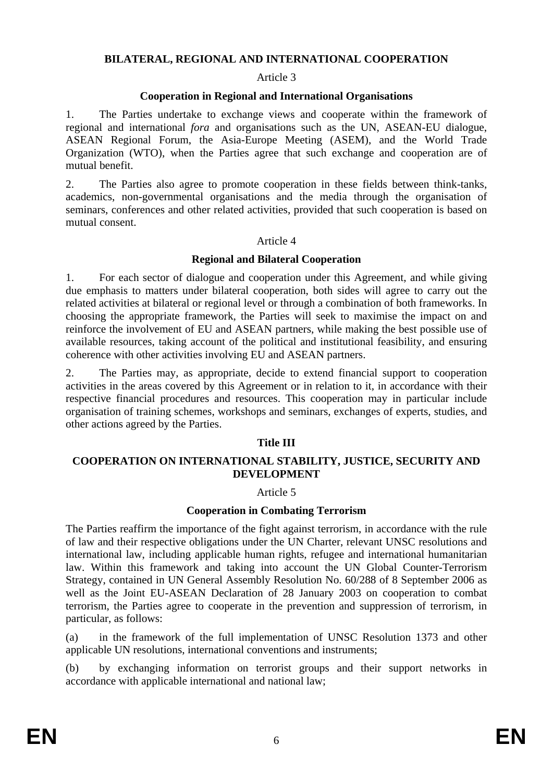#### **BILATERAL, REGIONAL AND INTERNATIONAL COOPERATION**

#### Article 3

### **Cooperation in Regional and International Organisations**

1. The Parties undertake to exchange views and cooperate within the framework of regional and international *fora* and organisations such as the UN, ASEAN-EU dialogue, ASEAN Regional Forum, the Asia-Europe Meeting (ASEM), and the World Trade Organization (WTO), when the Parties agree that such exchange and cooperation are of mutual benefit.

2. The Parties also agree to promote cooperation in these fields between think-tanks, academics, non-governmental organisations and the media through the organisation of seminars, conferences and other related activities, provided that such cooperation is based on mutual consent.

#### Article 4

### **Regional and Bilateral Cooperation**

1. For each sector of dialogue and cooperation under this Agreement, and while giving due emphasis to matters under bilateral cooperation, both sides will agree to carry out the related activities at bilateral or regional level or through a combination of both frameworks. In choosing the appropriate framework, the Parties will seek to maximise the impact on and reinforce the involvement of EU and ASEAN partners, while making the best possible use of available resources, taking account of the political and institutional feasibility, and ensuring coherence with other activities involving EU and ASEAN partners.

2. The Parties may, as appropriate, decide to extend financial support to cooperation activities in the areas covered by this Agreement or in relation to it, in accordance with their respective financial procedures and resources. This cooperation may in particular include organisation of training schemes, workshops and seminars, exchanges of experts, studies, and other actions agreed by the Parties.

### **Title III**

### **COOPERATION ON INTERNATIONAL STABILITY, JUSTICE, SECURITY AND DEVELOPMENT**

### Article 5

### **Cooperation in Combating Terrorism**

The Parties reaffirm the importance of the fight against terrorism, in accordance with the rule of law and their respective obligations under the UN Charter, relevant UNSC resolutions and international law, including applicable human rights, refugee and international humanitarian law. Within this framework and taking into account the UN Global Counter-Terrorism Strategy, contained in UN General Assembly Resolution No. 60/288 of 8 September 2006 as well as the Joint EU-ASEAN Declaration of 28 January 2003 on cooperation to combat terrorism, the Parties agree to cooperate in the prevention and suppression of terrorism, in particular, as follows:

(a) in the framework of the full implementation of UNSC Resolution 1373 and other applicable UN resolutions, international conventions and instruments;

(b) by exchanging information on terrorist groups and their support networks in accordance with applicable international and national law;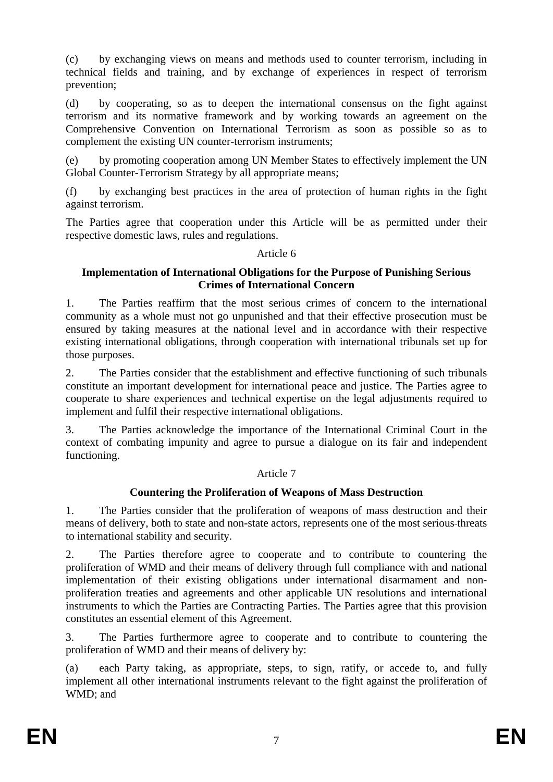(c) by exchanging views on means and methods used to counter terrorism, including in technical fields and training, and by exchange of experiences in respect of terrorism prevention;

(d) by cooperating, so as to deepen the international consensus on the fight against terrorism and its normative framework and by working towards an agreement on the Comprehensive Convention on International Terrorism as soon as possible so as to complement the existing UN counter-terrorism instruments;

(e) by promoting cooperation among UN Member States to effectively implement the UN Global Counter-Terrorism Strategy by all appropriate means;

(f) by exchanging best practices in the area of protection of human rights in the fight against terrorism.

The Parties agree that cooperation under this Article will be as permitted under their respective domestic laws, rules and regulations.

Article 6

### **Implementation of International Obligations for the Purpose of Punishing Serious Crimes of International Concern**

1. The Parties reaffirm that the most serious crimes of concern to the international community as a whole must not go unpunished and that their effective prosecution must be ensured by taking measures at the national level and in accordance with their respective existing international obligations, through cooperation with international tribunals set up for those purposes.

2. The Parties consider that the establishment and effective functioning of such tribunals constitute an important development for international peace and justice. The Parties agree to cooperate to share experiences and technical expertise on the legal adjustments required to implement and fulfil their respective international obligations.

3. The Parties acknowledge the importance of the International Criminal Court in the context of combating impunity and agree to pursue a dialogue on its fair and independent functioning.

# Article 7

# **Countering the Proliferation of Weapons of Mass Destruction**

1. The Parties consider that the proliferation of weapons of mass destruction and their means of delivery, both to state and non-state actors, represents one of the most serious threats to international stability and security.

2. The Parties therefore agree to cooperate and to contribute to countering the proliferation of WMD and their means of delivery through full compliance with and national implementation of their existing obligations under international disarmament and nonproliferation treaties and agreements and other applicable UN resolutions and international instruments to which the Parties are Contracting Parties. The Parties agree that this provision constitutes an essential element of this Agreement.

3. The Parties furthermore agree to cooperate and to contribute to countering the proliferation of WMD and their means of delivery by:

(a) each Party taking, as appropriate, steps, to sign, ratify, or accede to, and fully implement all other international instruments relevant to the fight against the proliferation of WMD; and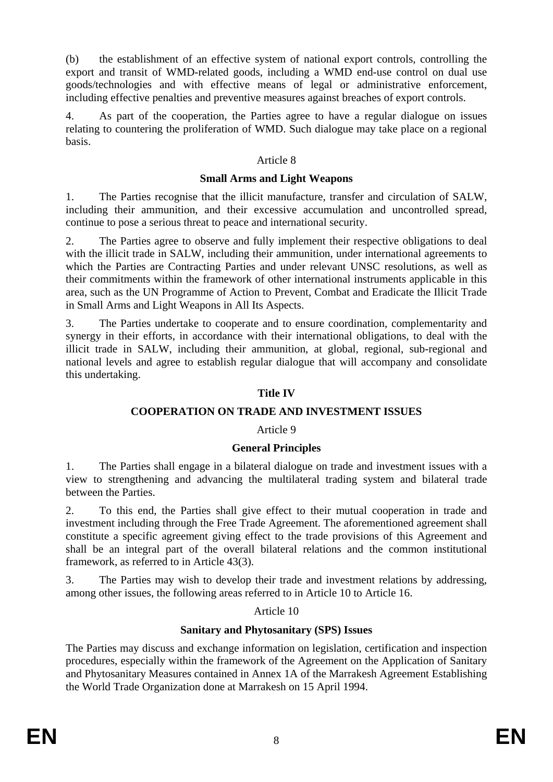(b) the establishment of an effective system of national export controls, controlling the export and transit of WMD-related goods, including a WMD end-use control on dual use goods/technologies and with effective means of legal or administrative enforcement, including effective penalties and preventive measures against breaches of export controls.

4. As part of the cooperation, the Parties agree to have a regular dialogue on issues relating to countering the proliferation of WMD. Such dialogue may take place on a regional basis.

### Article 8

### **Small Arms and Light Weapons**

1. The Parties recognise that the illicit manufacture, transfer and circulation of SALW, including their ammunition, and their excessive accumulation and uncontrolled spread, continue to pose a serious threat to peace and international security.

2. The Parties agree to observe and fully implement their respective obligations to deal with the illicit trade in SALW, including their ammunition, under international agreements to which the Parties are Contracting Parties and under relevant UNSC resolutions, as well as their commitments within the framework of other international instruments applicable in this area, such as the UN Programme of Action to Prevent, Combat and Eradicate the Illicit Trade in Small Arms and Light Weapons in All Its Aspects.

3. The Parties undertake to cooperate and to ensure coordination, complementarity and synergy in their efforts, in accordance with their international obligations, to deal with the illicit trade in SALW, including their ammunition, at global, regional, sub-regional and national levels and agree to establish regular dialogue that will accompany and consolidate this undertaking.

# **Title IV**

# **COOPERATION ON TRADE AND INVESTMENT ISSUES**

# Article 9

# **General Principles**

1. The Parties shall engage in a bilateral dialogue on trade and investment issues with a view to strengthening and advancing the multilateral trading system and bilateral trade between the Parties.

2. To this end, the Parties shall give effect to their mutual cooperation in trade and investment including through the Free Trade Agreement. The aforementioned agreement shall constitute a specific agreement giving effect to the trade provisions of this Agreement and shall be an integral part of the overall bilateral relations and the common institutional framework, as referred to in Article 43(3).

3. The Parties may wish to develop their trade and investment relations by addressing, among other issues, the following areas referred to in Article 10 to Article 16.

### Article 10

# **Sanitary and Phytosanitary (SPS) Issues**

The Parties may discuss and exchange information on legislation, certification and inspection procedures, especially within the framework of the Agreement on the Application of Sanitary and Phytosanitary Measures contained in Annex 1A of the Marrakesh Agreement Establishing the World Trade Organization done at Marrakesh on 15 April 1994.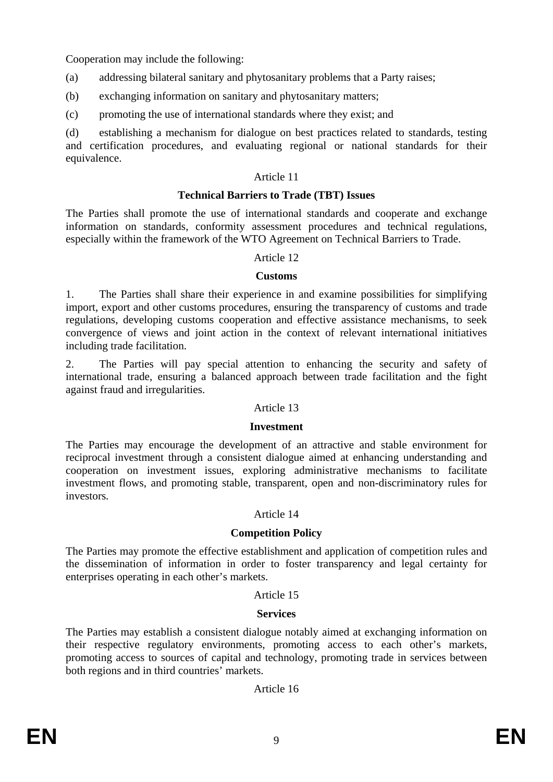Cooperation may include the following:

- (a) addressing bilateral sanitary and phytosanitary problems that a Party raises;
- (b) exchanging information on sanitary and phytosanitary matters;
- (c) promoting the use of international standards where they exist; and

(d) establishing a mechanism for dialogue on best practices related to standards, testing and certification procedures, and evaluating regional or national standards for their equivalence.

### Article 11

### **Technical Barriers to Trade (TBT) Issues**

The Parties shall promote the use of international standards and cooperate and exchange information on standards, conformity assessment procedures and technical regulations, especially within the framework of the WTO Agreement on Technical Barriers to Trade.

### Article 12

### **Customs**

1. The Parties shall share their experience in and examine possibilities for simplifying import, export and other customs procedures, ensuring the transparency of customs and trade regulations, developing customs cooperation and effective assistance mechanisms, to seek convergence of views and joint action in the context of relevant international initiatives including trade facilitation.

2. The Parties will pay special attention to enhancing the security and safety of international trade, ensuring a balanced approach between trade facilitation and the fight against fraud and irregularities.

### Article 13

### **Investment**

The Parties may encourage the development of an attractive and stable environment for reciprocal investment through a consistent dialogue aimed at enhancing understanding and cooperation on investment issues, exploring administrative mechanisms to facilitate investment flows, and promoting stable, transparent, open and non-discriminatory rules for investors*.*

### Article 14

### **Competition Policy**

The Parties may promote the effective establishment and application of competition rules and the dissemination of information in order to foster transparency and legal certainty for enterprises operating in each other's markets.

#### Article 15

### **Services**

The Parties may establish a consistent dialogue notably aimed at exchanging information on their respective regulatory environments, promoting access to each other's markets, promoting access to sources of capital and technology, promoting trade in services between both regions and in third countries' markets.

Article 16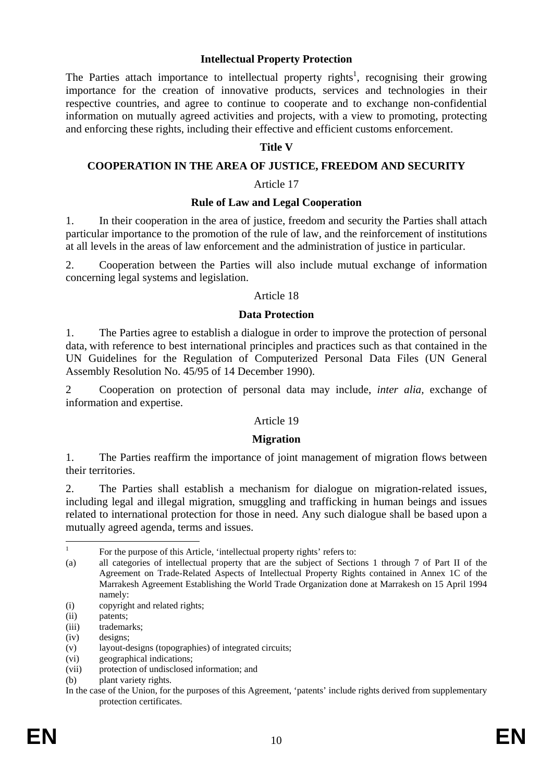#### **Intellectual Property Protection**

The Parties attach importance to intellectual property rights<sup>1</sup>, recognising their growing importance for the creation of innovative products, services and technologies in their respective countries, and agree to continue to cooperate and to exchange non-confidential information on mutually agreed activities and projects, with a view to promoting, protecting and enforcing these rights, including their effective and efficient customs enforcement.

#### **Title V**

#### **COOPERATION IN THE AREA OF JUSTICE, FREEDOM AND SECURITY**

#### Article 17

#### **Rule of Law and Legal Cooperation**

1. In their cooperation in the area of justice, freedom and security the Parties shall attach particular importance to the promotion of the rule of law, and the reinforcement of institutions at all levels in the areas of law enforcement and the administration of justice in particular.

2. Cooperation between the Parties will also include mutual exchange of information concerning legal systems and legislation.

#### Article 18

### **Data Protection**

1. The Parties agree to establish a dialogue in order to improve the protection of personal data, with reference to best international principles and practices such as that contained in the UN Guidelines for the Regulation of Computerized Personal Data Files (UN General Assembly Resolution No. 45/95 of 14 December 1990).

2 Cooperation on protection of personal data may include, *inter alia,* exchange of information and expertise.

### Article 19

### **Migration**

1. The Parties reaffirm the importance of joint management of migration flows between their territories.

2. The Parties shall establish a mechanism for dialogue on migration-related issues, including legal and illegal migration, smuggling and trafficking in human beings and issues related to international protection for those in need. Any such dialogue shall be based upon a mutually agreed agenda, terms and issues.

 $\frac{1}{1}$ For the purpose of this Article, 'intellectual property rights' refers to:

<sup>(</sup>a) all categories of intellectual property that are the subject of Sections 1 through 7 of Part II of the Agreement on Trade-Related Aspects of Intellectual Property Rights contained in Annex 1C of the Marrakesh Agreement Establishing the World Trade Organization done at Marrakesh on 15 April 1994 namely:

<sup>(</sup>i) copyright and related rights;

<sup>(</sup>ii) patents;

<sup>(</sup>iii) trademarks:

<sup>(</sup>iv) designs;

<sup>(</sup>v) layout-designs (topographies) of integrated circuits;

<sup>(</sup>vi) geographical indications;

<sup>(</sup>vii) protection of undisclosed information; and

<sup>(</sup>b) plant variety rights.

In the case of the Union, for the purposes of this Agreement, 'patents' include rights derived from supplementary protection certificates.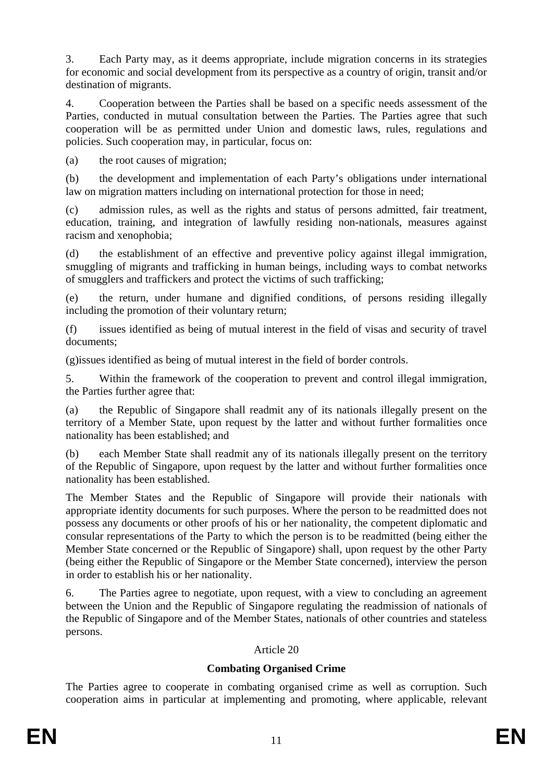3. Each Party may, as it deems appropriate, include migration concerns in its strategies for economic and social development from its perspective as a country of origin, transit and/or destination of migrants.

4. Cooperation between the Parties shall be based on a specific needs assessment of the Parties, conducted in mutual consultation between the Parties. The Parties agree that such cooperation will be as permitted under Union and domestic laws, rules, regulations and policies. Such cooperation may, in particular, focus on:

(a) the root causes of migration;

(b) the development and implementation of each Party's obligations under international law on migration matters including on international protection for those in need;

(c) admission rules, as well as the rights and status of persons admitted, fair treatment, education, training, and integration of lawfully residing non-nationals, measures against racism and xenophobia;

(d) the establishment of an effective and preventive policy against illegal immigration, smuggling of migrants and trafficking in human beings, including ways to combat networks of smugglers and traffickers and protect the victims of such trafficking;

(e) the return, under humane and dignified conditions, of persons residing illegally including the promotion of their voluntary return;

(f) issues identified as being of mutual interest in the field of visas and security of travel documents;

(g)issues identified as being of mutual interest in the field of border controls.

5. Within the framework of the cooperation to prevent and control illegal immigration, the Parties further agree that:

(a) the Republic of Singapore shall readmit any of its nationals illegally present on the territory of a Member State, upon request by the latter and without further formalities once nationality has been established; and

(b) each Member State shall readmit any of its nationals illegally present on the territory of the Republic of Singapore, upon request by the latter and without further formalities once nationality has been established.

The Member States and the Republic of Singapore will provide their nationals with appropriate identity documents for such purposes. Where the person to be readmitted does not possess any documents or other proofs of his or her nationality, the competent diplomatic and consular representations of the Party to which the person is to be readmitted (being either the Member State concerned or the Republic of Singapore) shall, upon request by the other Party (being either the Republic of Singapore or the Member State concerned), interview the person in order to establish his or her nationality.

6. The Parties agree to negotiate, upon request, with a view to concluding an agreement between the Union and the Republic of Singapore regulating the readmission of nationals of the Republic of Singapore and of the Member States, nationals of other countries and stateless persons.

# Article 20

# **Combating Organised Crime**

The Parties agree to cooperate in combating organised crime as well as corruption. Such cooperation aims in particular at implementing and promoting, where applicable, relevant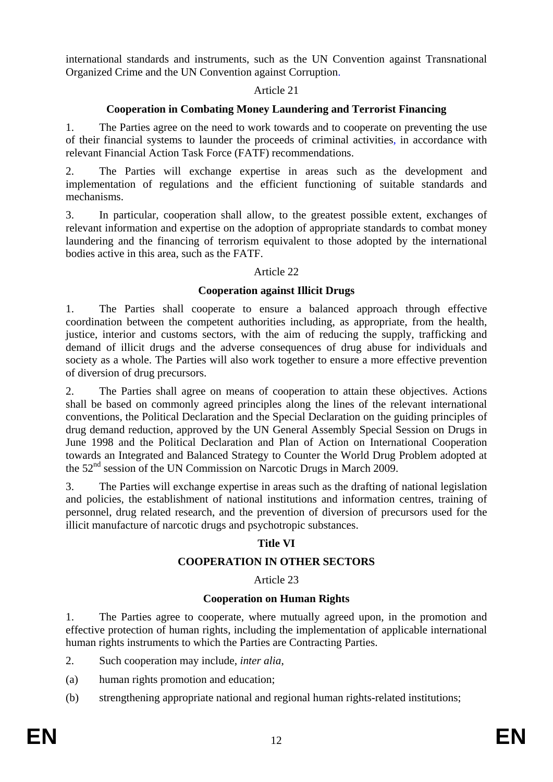international standards and instruments, such as the UN Convention against Transnational Organized Crime and the UN Convention against Corruption.

# Article 21

# **Cooperation in Combating Money Laundering and Terrorist Financing**

1. The Parties agree on the need to work towards and to cooperate on preventing the use of their financial systems to launder the proceeds of criminal activities, in accordance with relevant Financial Action Task Force (FATF) recommendations.

2. The Parties will exchange expertise in areas such as the development and implementation of regulations and the efficient functioning of suitable standards and mechanisms.

3. In particular, cooperation shall allow, to the greatest possible extent, exchanges of relevant information and expertise on the adoption of appropriate standards to combat money laundering and the financing of terrorism equivalent to those adopted by the international bodies active in this area, such as the FATF.

# Article 22

# **Cooperation against Illicit Drugs**

1. The Parties shall cooperate to ensure a balanced approach through effective coordination between the competent authorities including, as appropriate, from the health, justice, interior and customs sectors, with the aim of reducing the supply, trafficking and demand of illicit drugs and the adverse consequences of drug abuse for individuals and society as a whole. The Parties will also work together to ensure a more effective prevention of diversion of drug precursors.

2. The Parties shall agree on means of cooperation to attain these objectives. Actions shall be based on commonly agreed principles along the lines of the relevant international conventions, the Political Declaration and the Special Declaration on the guiding principles of drug demand reduction, approved by the UN General Assembly Special Session on Drugs in June 1998 and the Political Declaration and Plan of Action on International Cooperation towards an Integrated and Balanced Strategy to Counter the World Drug Problem adopted at the 52nd session of the UN Commission on Narcotic Drugs in March 2009.

3. The Parties will exchange expertise in areas such as the drafting of national legislation and policies, the establishment of national institutions and information centres, training of personnel, drug related research, and the prevention of diversion of precursors used for the illicit manufacture of narcotic drugs and psychotropic substances.

# **Title VI**

# **COOPERATION IN OTHER SECTORS**

# Article 23

# **Cooperation on Human Rights**

1. The Parties agree to cooperate, where mutually agreed upon, in the promotion and effective protection of human rights, including the implementation of applicable international human rights instruments to which the Parties are Contracting Parties.

- 2. Such cooperation may include, *inter alia*,
- (a) human rights promotion and education;
- (b) strengthening appropriate national and regional human rights-related institutions;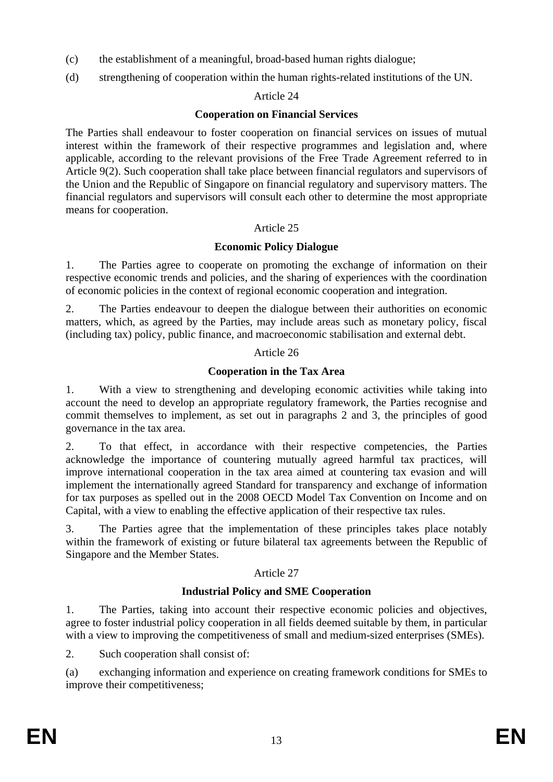- (c) the establishment of a meaningful, broad-based human rights dialogue;
- (d) strengthening of cooperation within the human rights-related institutions of the UN.

## Article 24

### **Cooperation on Financial Services**

The Parties shall endeavour to foster cooperation on financial services on issues of mutual interest within the framework of their respective programmes and legislation and, where applicable, according to the relevant provisions of the Free Trade Agreement referred to in Article 9(2). Such cooperation shall take place between financial regulators and supervisors of the Union and the Republic of Singapore on financial regulatory and supervisory matters. The financial regulators and supervisors will consult each other to determine the most appropriate means for cooperation.

### Article 25

# **Economic Policy Dialogue**

1. The Parties agree to cooperate on promoting the exchange of information on their respective economic trends and policies, and the sharing of experiences with the coordination of economic policies in the context of regional economic cooperation and integration.

2. The Parties endeavour to deepen the dialogue between their authorities on economic matters, which, as agreed by the Parties, may include areas such as monetary policy, fiscal (including tax) policy, public finance, and macroeconomic stabilisation and external debt.

### Article 26

# **Cooperation in the Tax Area**

1. With a view to strengthening and developing economic activities while taking into account the need to develop an appropriate regulatory framework, the Parties recognise and commit themselves to implement, as set out in paragraphs 2 and 3, the principles of good governance in the tax area.

2. To that effect, in accordance with their respective competencies, the Parties acknowledge the importance of countering mutually agreed harmful tax practices, will improve international cooperation in the tax area aimed at countering tax evasion and will implement the internationally agreed Standard for transparency and exchange of information for tax purposes as spelled out in the 2008 OECD Model Tax Convention on Income and on Capital, with a view to enabling the effective application of their respective tax rules.

3. The Parties agree that the implementation of these principles takes place notably within the framework of existing or future bilateral tax agreements between the Republic of Singapore and the Member States.

# Article 27

# **Industrial Policy and SME Cooperation**

1. The Parties, taking into account their respective economic policies and objectives, agree to foster industrial policy cooperation in all fields deemed suitable by them, in particular with a view to improving the competitiveness of small and medium-sized enterprises (SMEs).

2. Such cooperation shall consist of:

(a) exchanging information and experience on creating framework conditions for SMEs to improve their competitiveness;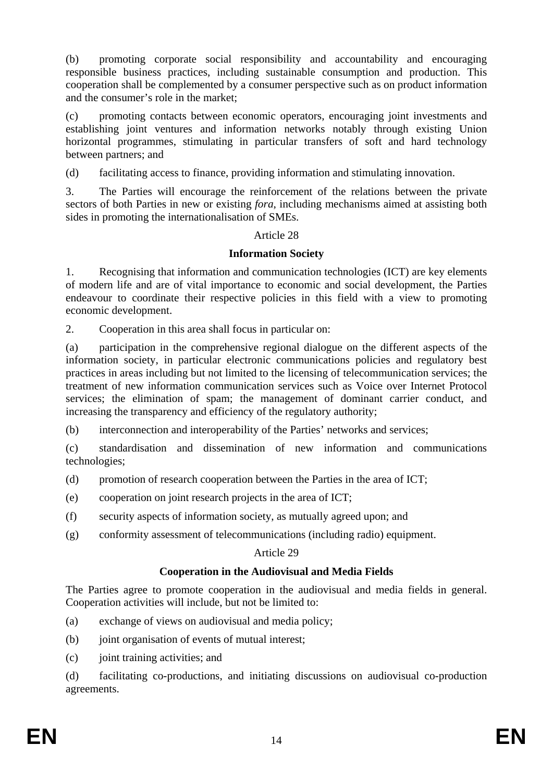(b) promoting corporate social responsibility and accountability and encouraging responsible business practices, including sustainable consumption and production. This cooperation shall be complemented by a consumer perspective such as on product information and the consumer's role in the market;

(c) promoting contacts between economic operators, encouraging joint investments and establishing joint ventures and information networks notably through existing Union horizontal programmes, stimulating in particular transfers of soft and hard technology between partners; and

(d) facilitating access to finance, providing information and stimulating innovation.

3. The Parties will encourage the reinforcement of the relations between the private sectors of both Parties in new or existing *fora*, including mechanisms aimed at assisting both sides in promoting the internationalisation of SMEs.

# Article 28

# **Information Society**

1. Recognising that information and communication technologies (ICT) are key elements of modern life and are of vital importance to economic and social development, the Parties endeavour to coordinate their respective policies in this field with a view to promoting economic development.

2. Cooperation in this area shall focus in particular on:

(a) participation in the comprehensive regional dialogue on the different aspects of the information society, in particular electronic communications policies and regulatory best practices in areas including but not limited to the licensing of telecommunication services; the treatment of new information communication services such as Voice over Internet Protocol services; the elimination of spam; the management of dominant carrier conduct, and increasing the transparency and efficiency of the regulatory authority;

(b) interconnection and interoperability of the Parties' networks and services;

(c) standardisation and dissemination of new information and communications technologies;

(d) promotion of research cooperation between the Parties in the area of ICT;

- (e) cooperation on joint research projects in the area of ICT;
- (f) security aspects of information society, as mutually agreed upon; and
- (g) conformity assessment of telecommunications (including radio) equipment.

# Article 29

# **Cooperation in the Audiovisual and Media Fields**

The Parties agree to promote cooperation in the audiovisual and media fields in general. Cooperation activities will include, but not be limited to:

- (a) exchange of views on audiovisual and media policy;
- (b) joint organisation of events of mutual interest;
- (c) joint training activities; and

(d) facilitating co-productions, and initiating discussions on audiovisual co-production agreements.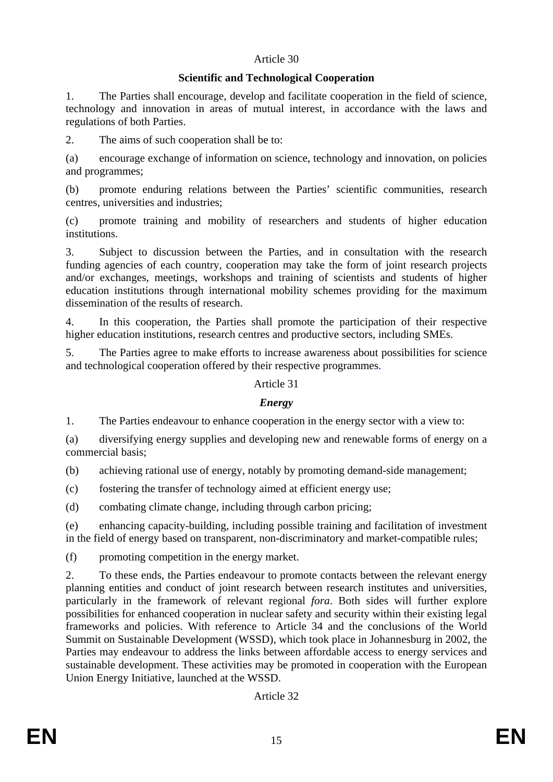# Article 30

### **Scientific and Technological Cooperation**

1. The Parties shall encourage, develop and facilitate cooperation in the field of science, technology and innovation in areas of mutual interest, in accordance with the laws and regulations of both Parties.

2. The aims of such cooperation shall be to:

(a) encourage exchange of information on science, technology and innovation, on policies and programmes;

(b) promote enduring relations between the Parties' scientific communities, research centres, universities and industries;

(c) promote training and mobility of researchers and students of higher education institutions.

3. Subject to discussion between the Parties, and in consultation with the research funding agencies of each country, cooperation may take the form of joint research projects and/or exchanges, meetings, workshops and training of scientists and students of higher education institutions through international mobility schemes providing for the maximum dissemination of the results of research.

4. In this cooperation, the Parties shall promote the participation of their respective higher education institutions, research centres and productive sectors, including SMEs.

5. The Parties agree to make efforts to increase awareness about possibilities for science and technological cooperation offered by their respective programmes.

### Article 31

# *Energy*

1. The Parties endeavour to enhance cooperation in the energy sector with a view to:

(a) diversifying energy supplies and developing new and renewable forms of energy on a commercial basis;

(b) achieving rational use of energy, notably by promoting demand-side management;

(c) fostering the transfer of technology aimed at efficient energy use;

(d) combating climate change, including through carbon pricing;

(e) enhancing capacity-building, including possible training and facilitation of investment in the field of energy based on transparent, non-discriminatory and market-compatible rules;

(f) promoting competition in the energy market.

2. To these ends, the Parties endeavour to promote contacts between the relevant energy planning entities and conduct of joint research between research institutes and universities, particularly in the framework of relevant regional *fora*. Both sides will further explore possibilities for enhanced cooperation in nuclear safety and security within their existing legal frameworks and policies. With reference to Article 34 and the conclusions of the World Summit on Sustainable Development (WSSD), which took place in Johannesburg in 2002, the Parties may endeavour to address the links between affordable access to energy services and sustainable development. These activities may be promoted in cooperation with the European Union Energy Initiative, launched at the WSSD.

Article 32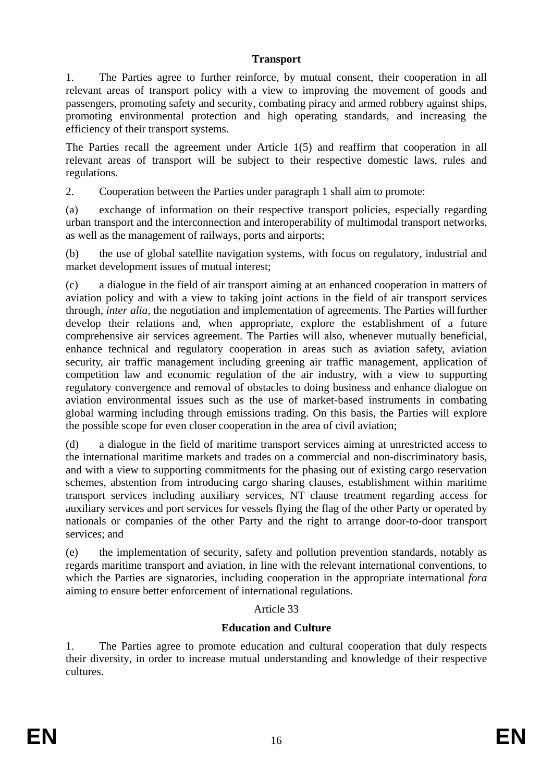### **Transport**

1. The Parties agree to further reinforce, by mutual consent, their cooperation in all relevant areas of transport policy with a view to improving the movement of goods and passengers, promoting safety and security, combating piracy and armed robbery against ships, promoting environmental protection and high operating standards, and increasing the efficiency of their transport systems.

The Parties recall the agreement under Article 1(5) and reaffirm that cooperation in all relevant areas of transport will be subject to their respective domestic laws, rules and regulations.

2. Cooperation between the Parties under paragraph 1 shall aim to promote:

(a) exchange of information on their respective transport policies, especially regarding urban transport and the interconnection and interoperability of multimodal transport networks, as well as the management of railways, ports and airports;

(b) the use of global satellite navigation systems, with focus on regulatory, industrial and market development issues of mutual interest;

(c) a dialogue in the field of air transport aiming at an enhanced cooperation in matters of aviation policy and with a view to taking joint actions in the field of air transport services through, *inter alia,* the negotiation and implementation of agreements. The Parties willfurther develop their relations and, when appropriate, explore the establishment of a future comprehensive air services agreement. The Parties will also, whenever mutually beneficial, enhance technical and regulatory cooperation in areas such as aviation safety, aviation security, air traffic management including greening air traffic management, application of competition law and economic regulation of the air industry, with a view to supporting regulatory convergence and removal of obstacles to doing business and enhance dialogue on aviation environmental issues such as the use of market-based instruments in combating global warming including through emissions trading. On this basis, the Parties will explore the possible scope for even closer cooperation in the area of civil aviation;

(d) a dialogue in the field of maritime transport services aiming at unrestricted access to the international maritime markets and trades on a commercial and non-discriminatory basis, and with a view to supporting commitments for the phasing out of existing cargo reservation schemes, abstention from introducing cargo sharing clauses, establishment within maritime transport services including auxiliary services, NT clause treatment regarding access for auxiliary services and port services for vessels flying the flag of the other Party or operated by nationals or companies of the other Party and the right to arrange door-to-door transport services; and

(e) the implementation of security, safety and pollution prevention standards, notably as regards maritime transport and aviation, in line with the relevant international conventions, to which the Parties are signatories, including cooperation in the appropriate international *fora* aiming to ensure better enforcement of international regulations.

# Article 33

# **Education and Culture**

1. The Parties agree to promote education and cultural cooperation that duly respects their diversity, in order to increase mutual understanding and knowledge of their respective cultures.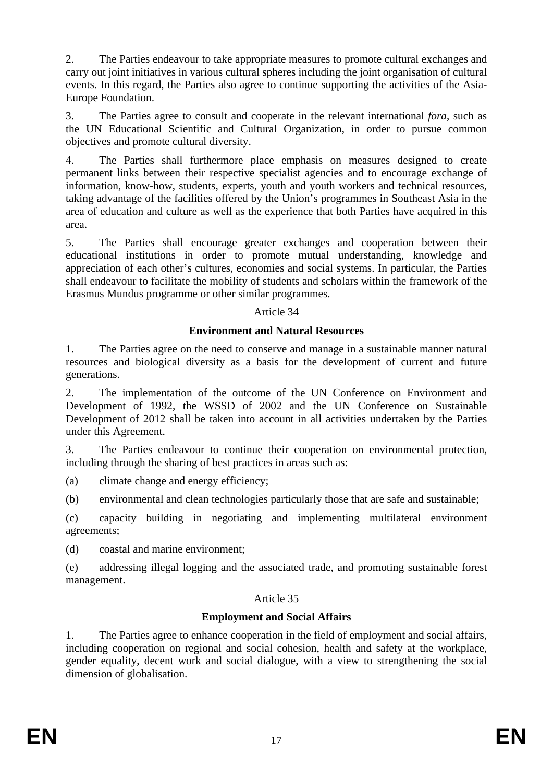2. The Parties endeavour to take appropriate measures to promote cultural exchanges and carry out joint initiatives in various cultural spheres including the joint organisation of cultural events. In this regard, the Parties also agree to continue supporting the activities of the Asia-Europe Foundation.

3. The Parties agree to consult and cooperate in the relevant international *fora*, such as the UN Educational Scientific and Cultural Organization, in order to pursue common objectives and promote cultural diversity.

4. The Parties shall furthermore place emphasis on measures designed to create permanent links between their respective specialist agencies and to encourage exchange of information, know-how, students, experts, youth and youth workers and technical resources, taking advantage of the facilities offered by the Union's programmes in Southeast Asia in the area of education and culture as well as the experience that both Parties have acquired in this area.

5. The Parties shall encourage greater exchanges and cooperation between their educational institutions in order to promote mutual understanding, knowledge and appreciation of each other's cultures, economies and social systems. In particular, the Parties shall endeavour to facilitate the mobility of students and scholars within the framework of the Erasmus Mundus programme or other similar programmes.

### Article 34

### **Environment and Natural Resources**

1. The Parties agree on the need to conserve and manage in a sustainable manner natural resources and biological diversity as a basis for the development of current and future generations.

2. The implementation of the outcome of the UN Conference on Environment and Development of 1992, the WSSD of 2002 and the UN Conference on Sustainable Development of 2012 shall be taken into account in all activities undertaken by the Parties under this Agreement.

3. The Parties endeavour to continue their cooperation on environmental protection, including through the sharing of best practices in areas such as:

(a) climate change and energy efficiency;

(b) environmental and clean technologies particularly those that are safe and sustainable;

(c) capacity building in negotiating and implementing multilateral environment agreements;

(d) coastal and marine environment;

(e) addressing illegal logging and the associated trade, and promoting sustainable forest management.

### Article 35

# **Employment and Social Affairs**

1. The Parties agree to enhance cooperation in the field of employment and social affairs, including cooperation on regional and social cohesion, health and safety at the workplace, gender equality, decent work and social dialogue, with a view to strengthening the social dimension of globalisation.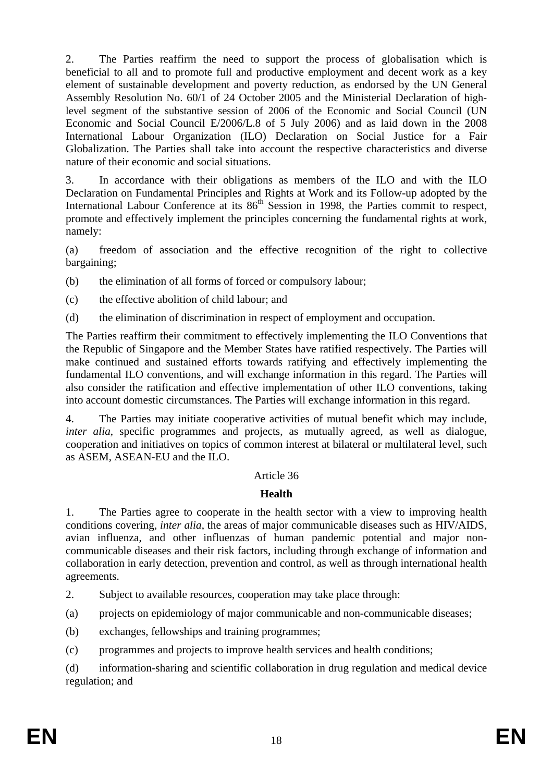2. The Parties reaffirm the need to support the process of globalisation which is beneficial to all and to promote full and productive employment and decent work as a key element of sustainable development and poverty reduction, as endorsed by the UN General Assembly Resolution No. 60/1 of 24 October 2005 and the Ministerial Declaration of highlevel segment of the substantive session of 2006 of the Economic and Social Council (UN Economic and Social Council E/2006/L.8 of 5 July 2006) and as laid down in the 2008 International Labour Organization (ILO) Declaration on Social Justice for a Fair Globalization. The Parties shall take into account the respective characteristics and diverse nature of their economic and social situations.

3. In accordance with their obligations as members of the ILO and with the ILO Declaration on Fundamental Principles and Rights at Work and its Follow-up adopted by the International Labour Conference at its 86<sup>th</sup> Session in 1998, the Parties commit to respect, promote and effectively implement the principles concerning the fundamental rights at work, namely:

(a) freedom of association and the effective recognition of the right to collective bargaining;

(b) the elimination of all forms of forced or compulsory labour;

- (c) the effective abolition of child labour; and
- (d) the elimination of discrimination in respect of employment and occupation.

The Parties reaffirm their commitment to effectively implementing the ILO Conventions that the Republic of Singapore and the Member States have ratified respectively. The Parties will make continued and sustained efforts towards ratifying and effectively implementing the fundamental ILO conventions, and will exchange information in this regard. The Parties will also consider the ratification and effective implementation of other ILO conventions, taking into account domestic circumstances. The Parties will exchange information in this regard.

4. The Parties may initiate cooperative activities of mutual benefit which may include, *inter alia*, specific programmes and projects, as mutually agreed, as well as dialogue, cooperation and initiatives on topics of common interest at bilateral or multilateral level, such as ASEM, ASEAN-EU and the ILO.

# Article 36

# **Health**

1. The Parties agree to cooperate in the health sector with a view to improving health conditions covering, *inter alia*, the areas of major communicable diseases such as HIV/AIDS, avian influenza, and other influenzas of human pandemic potential and major noncommunicable diseases and their risk factors, including through exchange of information and collaboration in early detection, prevention and control, as well as through international health agreements.

2. Subject to available resources, cooperation may take place through:

(a) projects on epidemiology of major communicable and non-communicable diseases;

(b) exchanges, fellowships and training programmes;

(c) programmes and projects to improve health services and health conditions;

(d) information-sharing and scientific collaboration in drug regulation and medical device regulation; and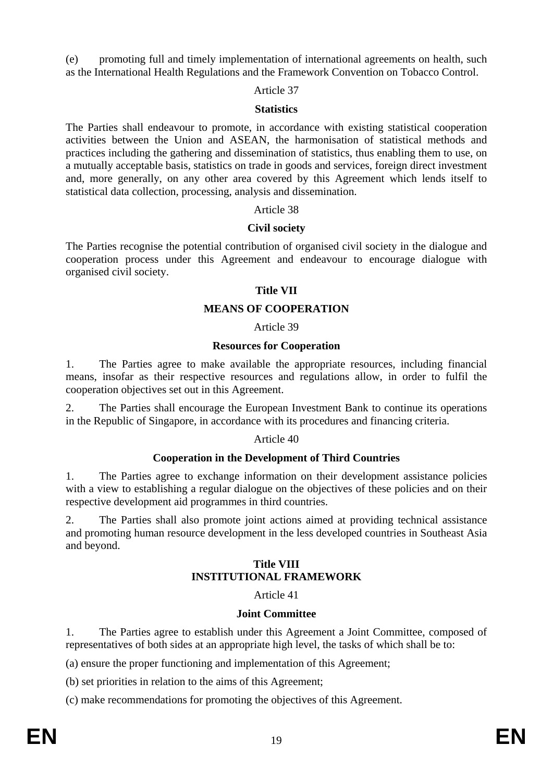(e) promoting full and timely implementation of international agreements on health, such as the International Health Regulations and the Framework Convention on Tobacco Control.

#### Article 37

#### **Statistics**

The Parties shall endeavour to promote, in accordance with existing statistical cooperation activities between the Union and ASEAN, the harmonisation of statistical methods and practices including the gathering and dissemination of statistics, thus enabling them to use, on a mutually acceptable basis, statistics on trade in goods and services, foreign direct investment and, more generally, on any other area covered by this Agreement which lends itself to statistical data collection, processing, analysis and dissemination.

#### Article 38

### **Civil society**

The Parties recognise the potential contribution of organised civil society in the dialogue and cooperation process under this Agreement and endeavour to encourage dialogue with organised civil society.

#### **Title VII**

### **MEANS OF COOPERATION**

### Article 39

### **Resources for Cooperation**

1. The Parties agree to make available the appropriate resources, including financial means, insofar as their respective resources and regulations allow, in order to fulfil the cooperation objectives set out in this Agreement.

2. The Parties shall encourage the European Investment Bank to continue its operations in the Republic of Singapore, in accordance with its procedures and financing criteria.

### Article 40

### **Cooperation in the Development of Third Countries**

1. The Parties agree to exchange information on their development assistance policies with a view to establishing a regular dialogue on the objectives of these policies and on their respective development aid programmes in third countries.

2. The Parties shall also promote joint actions aimed at providing technical assistance and promoting human resource development in the less developed countries in Southeast Asia and beyond.

### **Title VIII INSTITUTIONAL FRAMEWORK**

### Article 41

### **Joint Committee**

1. The Parties agree to establish under this Agreement a Joint Committee, composed of representatives of both sides at an appropriate high level, the tasks of which shall be to:

(a) ensure the proper functioning and implementation of this Agreement;

(b) set priorities in relation to the aims of this Agreement;

(c) make recommendations for promoting the objectives of this Agreement.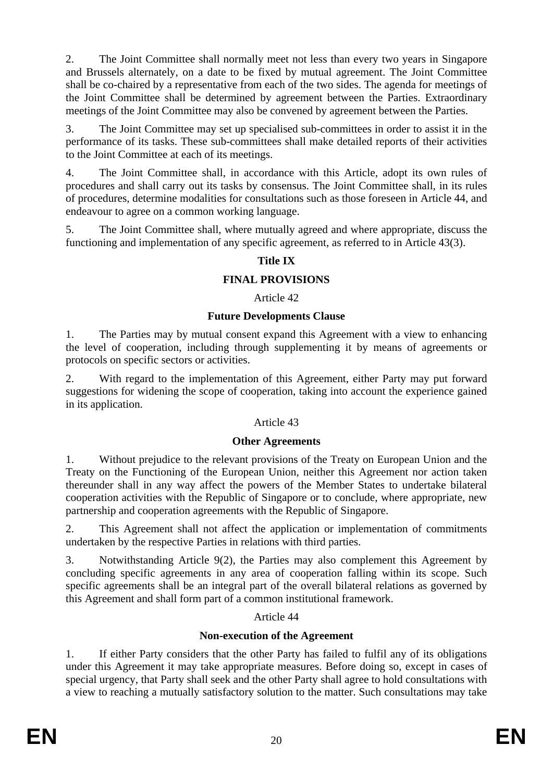2. The Joint Committee shall normally meet not less than every two years in Singapore and Brussels alternately, on a date to be fixed by mutual agreement. The Joint Committee shall be co-chaired by a representative from each of the two sides. The agenda for meetings of the Joint Committee shall be determined by agreement between the Parties. Extraordinary meetings of the Joint Committee may also be convened by agreement between the Parties.

3. The Joint Committee may set up specialised sub-committees in order to assist it in the performance of its tasks. These sub-committees shall make detailed reports of their activities to the Joint Committee at each of its meetings.

4. The Joint Committee shall, in accordance with this Article, adopt its own rules of procedures and shall carry out its tasks by consensus. The Joint Committee shall, in its rules of procedures, determine modalities for consultations such as those foreseen in Article 44, and endeavour to agree on a common working language.

5. The Joint Committee shall, where mutually agreed and where appropriate, discuss the functioning and implementation of any specific agreement, as referred to in Article 43(3).

# **Title IX**

### **FINAL PROVISIONS**

### Article 42

### **Future Developments Clause**

1. The Parties may by mutual consent expand this Agreement with a view to enhancing the level of cooperation, including through supplementing it by means of agreements or protocols on specific sectors or activities.

2. With regard to the implementation of this Agreement, either Party may put forward suggestions for widening the scope of cooperation, taking into account the experience gained in its application.

### Article 43

### **Other Agreements**

1. Without prejudice to the relevant provisions of the Treaty on European Union and the Treaty on the Functioning of the European Union, neither this Agreement nor action taken thereunder shall in any way affect the powers of the Member States to undertake bilateral cooperation activities with the Republic of Singapore or to conclude, where appropriate, new partnership and cooperation agreements with the Republic of Singapore.

2. This Agreement shall not affect the application or implementation of commitments undertaken by the respective Parties in relations with third parties.

3. Notwithstanding Article 9(2), the Parties may also complement this Agreement by concluding specific agreements in any area of cooperation falling within its scope. Such specific agreements shall be an integral part of the overall bilateral relations as governed by this Agreement and shall form part of a common institutional framework.

### Article 44

# **Non-execution of the Agreement**

1. If either Party considers that the other Party has failed to fulfil any of its obligations under this Agreement it may take appropriate measures. Before doing so, except in cases of special urgency, that Party shall seek and the other Party shall agree to hold consultations with a view to reaching a mutually satisfactory solution to the matter. Such consultations may take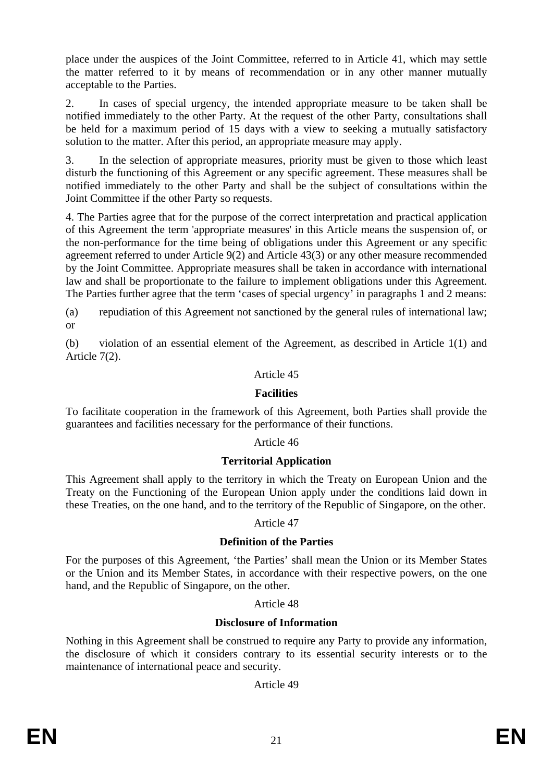place under the auspices of the Joint Committee, referred to in Article 41, which may settle the matter referred to it by means of recommendation or in any other manner mutually acceptable to the Parties.

2. In cases of special urgency, the intended appropriate measure to be taken shall be notified immediately to the other Party. At the request of the other Party, consultations shall be held for a maximum period of 15 days with a view to seeking a mutually satisfactory solution to the matter. After this period, an appropriate measure may apply.

3. In the selection of appropriate measures, priority must be given to those which least disturb the functioning of this Agreement or any specific agreement. These measures shall be notified immediately to the other Party and shall be the subject of consultations within the Joint Committee if the other Party so requests.

4. The Parties agree that for the purpose of the correct interpretation and practical application of this Agreement the term 'appropriate measures' in this Article means the suspension of, or the non-performance for the time being of obligations under this Agreement or any specific agreement referred to under Article 9(2) and Article 43(3) or any other measure recommended by the Joint Committee. Appropriate measures shall be taken in accordance with international law and shall be proportionate to the failure to implement obligations under this Agreement. The Parties further agree that the term 'cases of special urgency' in paragraphs 1 and 2 means:

(a) repudiation of this Agreement not sanctioned by the general rules of international law; or

(b) violation of an essential element of the Agreement, as described in Article 1(1) and Article 7(2).

### Article 45

### **Facilities**

To facilitate cooperation in the framework of this Agreement, both Parties shall provide the guarantees and facilities necessary for the performance of their functions.

### Article 46

### **Territorial Application**

This Agreement shall apply to the territory in which the Treaty on European Union and the Treaty on the Functioning of the European Union apply under the conditions laid down in these Treaties, on the one hand, and to the territory of the Republic of Singapore, on the other.

### Article 47

### **Definition of the Parties**

For the purposes of this Agreement, 'the Parties' shall mean the Union or its Member States or the Union and its Member States, in accordance with their respective powers, on the one hand, and the Republic of Singapore, on the other.

### Article 48

### **Disclosure of Information**

Nothing in this Agreement shall be construed to require any Party to provide any information, the disclosure of which it considers contrary to its essential security interests or to the maintenance of international peace and security.

Article 49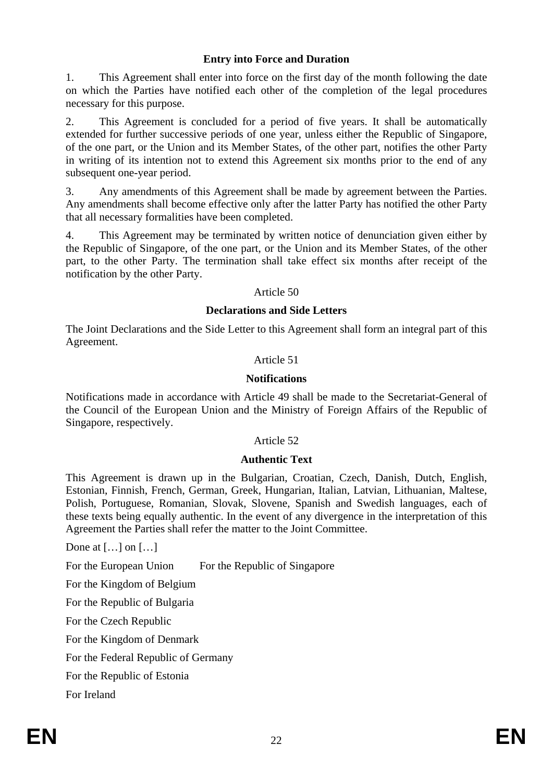## **Entry into Force and Duration**

1. This Agreement shall enter into force on the first day of the month following the date on which the Parties have notified each other of the completion of the legal procedures necessary for this purpose.

2. This Agreement is concluded for a period of five years. It shall be automatically extended for further successive periods of one year, unless either the Republic of Singapore, of the one part, or the Union and its Member States, of the other part, notifies the other Party in writing of its intention not to extend this Agreement six months prior to the end of any subsequent one-year period.

3. Any amendments of this Agreement shall be made by agreement between the Parties. Any amendments shall become effective only after the latter Party has notified the other Party that all necessary formalities have been completed.

4. This Agreement may be terminated by written notice of denunciation given either by the Republic of Singapore, of the one part, or the Union and its Member States, of the other part, to the other Party. The termination shall take effect six months after receipt of the notification by the other Party.

#### Article 50

### **Declarations and Side Letters**

The Joint Declarations and the Side Letter to this Agreement shall form an integral part of this Agreement.

### Article 51

### **Notifications**

Notifications made in accordance with Article 49 shall be made to the Secretariat-General of the Council of the European Union and the Ministry of Foreign Affairs of the Republic of Singapore, respectively.

### Article 52

### **Authentic Text**

This Agreement is drawn up in the Bulgarian, Croatian, Czech, Danish, Dutch, English, Estonian, Finnish, French, German, Greek, Hungarian, Italian, Latvian, Lithuanian, Maltese, Polish, Portuguese, Romanian, Slovak, Slovene, Spanish and Swedish languages, each of these texts being equally authentic. In the event of any divergence in the interpretation of this Agreement the Parties shall refer the matter to the Joint Committee.

Done at […] on […]

For the European Union For the Republic of Singapore For the Kingdom of Belgium For the Republic of Bulgaria For the Czech Republic For the Kingdom of Denmark For the Federal Republic of Germany For the Republic of Estonia For Ireland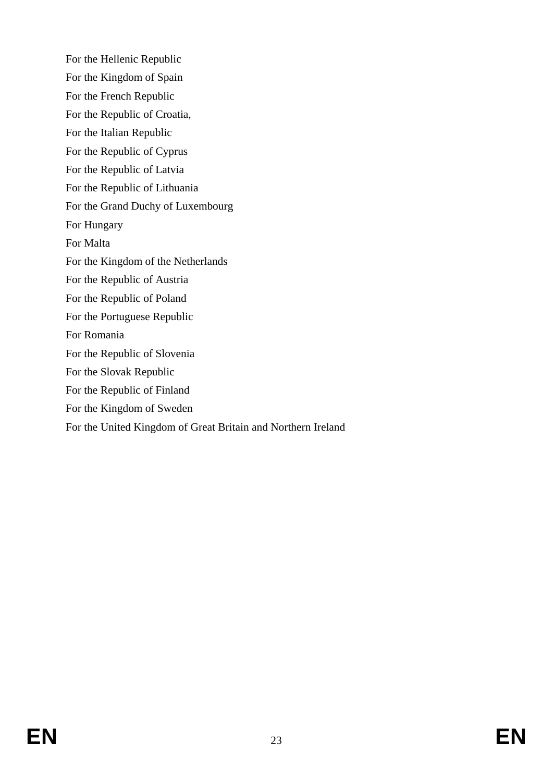For the Hellenic Republic For the Kingdom of Spain For the French Republic For the Republic of Croatia, For the Italian Republic For the Republic of Cyprus For the Republic of Latvia For the Republic of Lithuania For the Grand Duchy of Luxembourg For Hungary For Malta For the Kingdom of the Netherlands For the Republic of Austria For the Republic of Poland For the Portuguese Republic For Romania For the Republic of Slovenia For the Slovak Republic For the Republic of Finland For the Kingdom of Sweden For the United Kingdom of Great Britain and Northern Ireland